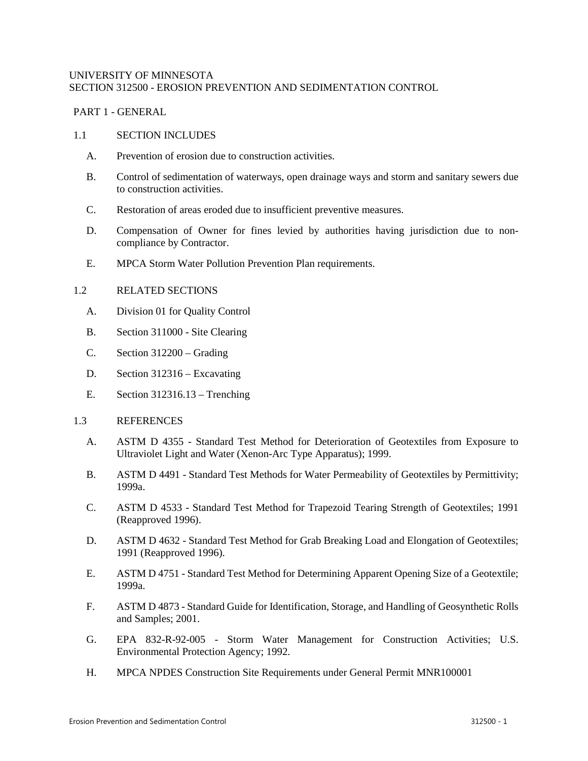## UNIVERSITY OF MINNESOTA SECTION 312500 - EROSION PREVENTION AND SEDIMENTATION CONTROL

## PART 1 - GENERAL

#### 1.1 SECTION INCLUDES

- A. Prevention of erosion due to construction activities.
- B. Control of sedimentation of waterways, open drainage ways and storm and sanitary sewers due to construction activities.
- C. Restoration of areas eroded due to insufficient preventive measures.
- D. Compensation of Owner for fines levied by authorities having jurisdiction due to noncompliance by Contractor.
- E. MPCA Storm Water Pollution Prevention Plan requirements.

## 1.2 RELATED SECTIONS

- A. Division 01 for Quality Control
- B. Section 311000 Site Clearing
- C. Section 312200 Grading
- D. Section 312316 Excavating
- E. Section 312316.13 Trenching
- 1.3 REFERENCES
	- A. ASTM D 4355 Standard Test Method for Deterioration of Geotextiles from Exposure to Ultraviolet Light and Water (Xenon-Arc Type Apparatus); 1999.
	- B. ASTM D 4491 Standard Test Methods for Water Permeability of Geotextiles by Permittivity; 1999a.
	- C. ASTM D 4533 Standard Test Method for Trapezoid Tearing Strength of Geotextiles; 1991 (Reapproved 1996).
	- D. ASTM D 4632 Standard Test Method for Grab Breaking Load and Elongation of Geotextiles; 1991 (Reapproved 1996).
	- E. ASTM D 4751 Standard Test Method for Determining Apparent Opening Size of a Geotextile; 1999a.
	- F. ASTM D 4873 Standard Guide for Identification, Storage, and Handling of Geosynthetic Rolls and Samples; 2001.
	- G. EPA 832-R-92-005 Storm Water Management for Construction Activities; U.S. Environmental Protection Agency; 1992.
	- H. MPCA NPDES Construction Site Requirements under General Permit MNR100001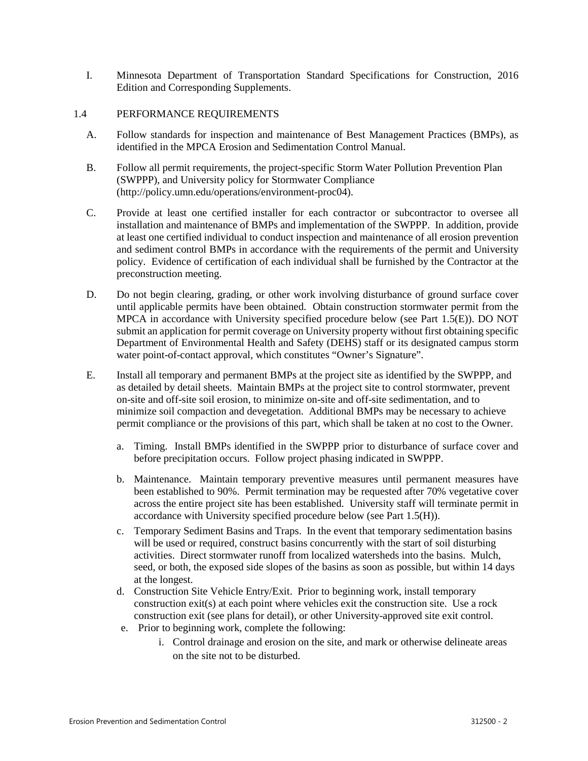I. Minnesota Department of Transportation Standard Specifications for Construction, 2016 Edition and Corresponding Supplements.

## 1.4 PERFORMANCE REQUIREMENTS

- A. Follow standards for inspection and maintenance of Best Management Practices (BMPs), as identified in the MPCA Erosion and Sedimentation Control Manual.
- B. Follow all permit requirements, the project-specific Storm Water Pollution Prevention Plan (SWPPP), and University policy for Stormwater Compliance (http://policy.umn.edu/operations/environment-proc04).
- C. Provide at least one certified installer for each contractor or subcontractor to oversee all installation and maintenance of BMPs and implementation of the SWPPP. In addition, provide at least one certified individual to conduct inspection and maintenance of all erosion prevention and sediment control BMPs in accordance with the requirements of the permit and University policy. Evidence of certification of each individual shall be furnished by the Contractor at the preconstruction meeting.
- D. Do not begin clearing, grading, or other work involving disturbance of ground surface cover until applicable permits have been obtained. Obtain construction stormwater permit from the MPCA in accordance with University specified procedure below (see Part 1.5(E)). DO NOT submit an application for permit coverage on University property without first obtaining specific Department of Environmental Health and Safety (DEHS) staff or its designated campus storm water point-of-contact approval, which constitutes "Owner's Signature".
- E. Install all temporary and permanent BMPs at the project site as identified by the SWPPP, and as detailed by detail sheets. Maintain BMPs at the project site to control stormwater, prevent on-site and off-site soil erosion, to minimize on-site and off-site sedimentation, and to minimize soil compaction and devegetation. Additional BMPs may be necessary to achieve permit compliance or the provisions of this part, which shall be taken at no cost to the Owner.
	- a. Timing. Install BMPs identified in the SWPPP prior to disturbance of surface cover and before precipitation occurs. Follow project phasing indicated in SWPPP.
	- b. Maintenance. Maintain temporary preventive measures until permanent measures have been established to 90%. Permit termination may be requested after 70% vegetative cover across the entire project site has been established. University staff will terminate permit in accordance with University specified procedure below (see Part 1.5(H)).
	- c. Temporary Sediment Basins and Traps. In the event that temporary sedimentation basins will be used or required, construct basins concurrently with the start of soil disturbing activities. Direct stormwater runoff from localized watersheds into the basins. Mulch, seed, or both, the exposed side slopes of the basins as soon as possible, but within 14 days at the longest.
	- d. Construction Site Vehicle Entry/Exit. Prior to beginning work, install temporary construction exit(s) at each point where vehicles exit the construction site. Use a rock construction exit (see plans for detail), or other University-approved site exit control.
	- e. Prior to beginning work, complete the following:
		- i. Control drainage and erosion on the site, and mark or otherwise delineate areas on the site not to be disturbed.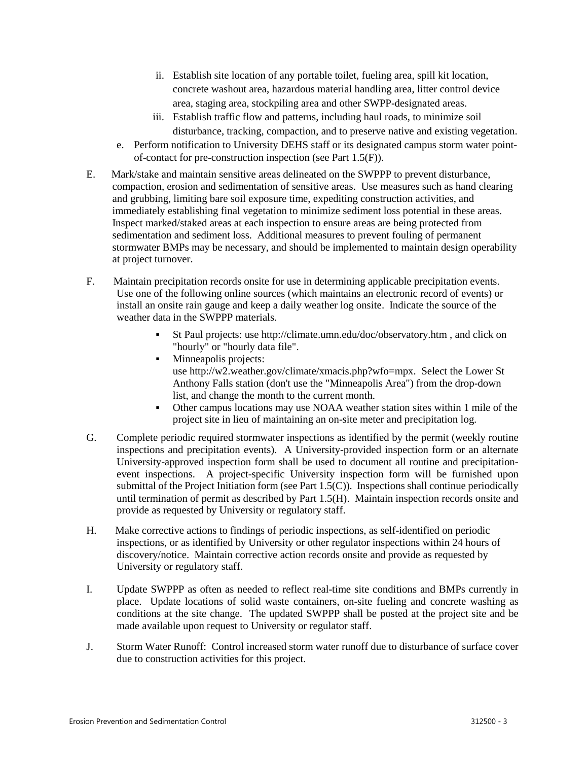- ii. Establish site location of any portable toilet, fueling area, spill kit location, concrete washout area, hazardous material handling area, litter control device area, staging area, stockpiling area and other SWPP-designated areas.
- iii. Establish traffic flow and patterns, including haul roads, to minimize soil disturbance, tracking, compaction, and to preserve native and existing vegetation.
- e. Perform notification to University DEHS staff or its designated campus storm water pointof-contact for pre-construction inspection (see Part 1.5(F)).
- E. Mark/stake and maintain sensitive areas delineated on the SWPPP to prevent disturbance, compaction, erosion and sedimentation of sensitive areas. Use measures such as hand clearing and grubbing, limiting bare soil exposure time, expediting construction activities, and immediately establishing final vegetation to minimize sediment loss potential in these areas. Inspect marked/staked areas at each inspection to ensure areas are being protected from sedimentation and sediment loss. Additional measures to prevent fouling of permanent stormwater BMPs may be necessary, and should be implemented to maintain design operability at project turnover.
- F. Maintain precipitation records onsite for use in determining applicable precipitation events. Use one of the following online sources (which maintains an electronic record of events) or install an onsite rain gauge and keep a daily weather log onsite. Indicate the source of the weather data in the SWPPP materials.
	- St Paul projects: use [http://climate.umn.edu/doc/observatory.htm](https://urldefense.proofpoint.com/v2/url?u=http-3A__climate.umn.edu_doc_observatory.htm&d=AwMFaQ&c=WQ2EpUsxHvoI3e1Lwxd_rw&r=pf3S0kp6HT3qcOU-haHsjAlQL8u4jMDT7DQOiis52zk&m=DeU4253YNxtMnm2dGpfAiwQSdCcJYaZWyFFG1PeFAIw&s=63GZzYXX7IYqdoB9rVoI9_Tg-vK9_4U1IK0jZU7Nl5I&e=) , and click on "hourly" or "hourly data file".
	- Minneapolis projects: use [http://w2.weather.gov/climate/xmacis.php?wfo=mpx.](https://urldefense.proofpoint.com/v2/url?u=http-3A__w2.weather.gov_climate_xmacis.php-3Fwfo-3Dmpx&d=AwMFaQ&c=WQ2EpUsxHvoI3e1Lwxd_rw&r=pf3S0kp6HT3qcOU-haHsjAlQL8u4jMDT7DQOiis52zk&m=DeU4253YNxtMnm2dGpfAiwQSdCcJYaZWyFFG1PeFAIw&s=Fa6yOEgyrrDPbTu9P0ea20lyUMa_0wWVgcmh4riIFZc&e=) Select the Lower St Anthony Falls station (don't use the "Minneapolis Area") from the drop-down list, and change the month to the current month.
	- Other campus locations may use NOAA weather station sites within 1 mile of the project site in lieu of maintaining an on-site meter and precipitation log.
- G. Complete periodic required stormwater inspections as identified by the permit (weekly routine inspections and precipitation events). A University-provided inspection form or an alternate University-approved inspection form shall be used to document all routine and precipitationevent inspections. A project-specific University inspection form will be furnished upon submittal of the Project Initiation form (see Part 1.5(C)). Inspections shall continue periodically until termination of permit as described by Part 1.5(H). Maintain inspection records onsite and provide as requested by University or regulatory staff.
- H. Make corrective actions to findings of periodic inspections, as self-identified on periodic inspections, or as identified by University or other regulator inspections within 24 hours of discovery/notice. Maintain corrective action records onsite and provide as requested by University or regulatory staff.
- I. Update SWPPP as often as needed to reflect real-time site conditions and BMPs currently in place. Update locations of solid waste containers, on-site fueling and concrete washing as conditions at the site change. The updated SWPPP shall be posted at the project site and be made available upon request to University or regulator staff.
- J. Storm Water Runoff: Control increased storm water runoff due to disturbance of surface cover due to construction activities for this project.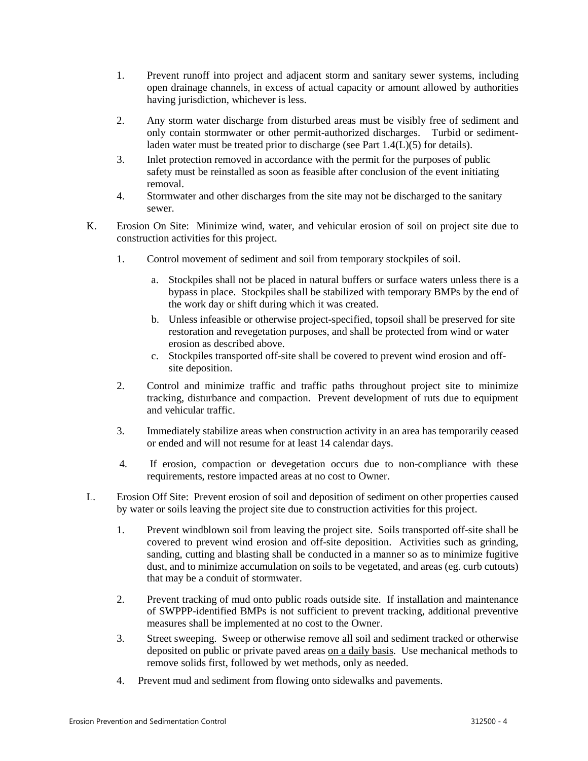- 1. Prevent runoff into project and adjacent storm and sanitary sewer systems, including open drainage channels, in excess of actual capacity or amount allowed by authorities having jurisdiction, whichever is less.
- 2. Any storm water discharge from disturbed areas must be visibly free of sediment and only contain stormwater or other permit-authorized discharges. Turbid or sedimentladen water must be treated prior to discharge (see Part 1.4(L)(5) for details).
- 3. Inlet protection removed in accordance with the permit for the purposes of public safety must be reinstalled as soon as feasible after conclusion of the event initiating removal.
- 4. Stormwater and other discharges from the site may not be discharged to the sanitary sewer.
- K. Erosion On Site: Minimize wind, water, and vehicular erosion of soil on project site due to construction activities for this project.
	- 1. Control movement of sediment and soil from temporary stockpiles of soil.
		- a. Stockpiles shall not be placed in natural buffers or surface waters unless there is a bypass in place. Stockpiles shall be stabilized with temporary BMPs by the end of the work day or shift during which it was created.
		- b. Unless infeasible or otherwise project-specified, topsoil shall be preserved for site restoration and revegetation purposes, and shall be protected from wind or water erosion as described above.
		- c. Stockpiles transported off-site shall be covered to prevent wind erosion and offsite deposition.
	- 2. Control and minimize traffic and traffic paths throughout project site to minimize tracking, disturbance and compaction. Prevent development of ruts due to equipment and vehicular traffic.
	- 3. Immediately stabilize areas when construction activity in an area has temporarily ceased or ended and will not resume for at least 14 calendar days.
	- 4. If erosion, compaction or devegetation occurs due to non-compliance with these requirements, restore impacted areas at no cost to Owner.
- L. Erosion Off Site: Prevent erosion of soil and deposition of sediment on other properties caused by water or soils leaving the project site due to construction activities for this project.
	- 1. Prevent windblown soil from leaving the project site. Soils transported off-site shall be covered to prevent wind erosion and off-site deposition. Activities such as grinding, sanding, cutting and blasting shall be conducted in a manner so as to minimize fugitive dust, and to minimize accumulation on soils to be vegetated, and areas (eg. curb cutouts) that may be a conduit of stormwater.
	- 2. Prevent tracking of mud onto public roads outside site. If installation and maintenance of SWPPP-identified BMPs is not sufficient to prevent tracking, additional preventive measures shall be implemented at no cost to the Owner.
	- 3. Street sweeping. Sweep or otherwise remove all soil and sediment tracked or otherwise deposited on public or private paved areas on a daily basis. Use mechanical methods to remove solids first, followed by wet methods, only as needed.
	- 4. Prevent mud and sediment from flowing onto sidewalks and pavements.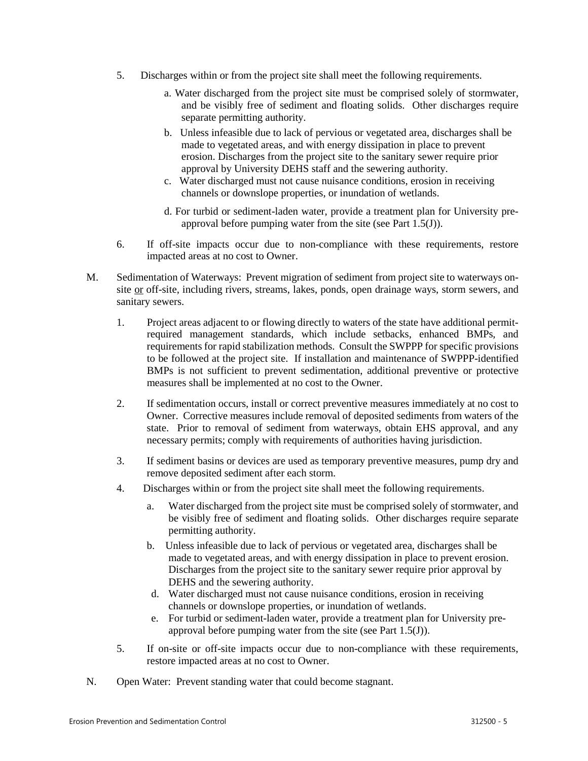- 5. Discharges within or from the project site shall meet the following requirements.
	- a. Water discharged from the project site must be comprised solely of stormwater, and be visibly free of sediment and floating solids. Other discharges require separate permitting authority.
	- b. Unless infeasible due to lack of pervious or vegetated area, discharges shall be made to vegetated areas, and with energy dissipation in place to prevent erosion. Discharges from the project site to the sanitary sewer require prior approval by University DEHS staff and the sewering authority.
	- c. Water discharged must not cause nuisance conditions, erosion in receiving channels or downslope properties, or inundation of wetlands.
	- d. For turbid or sediment-laden water, provide a treatment plan for University preapproval before pumping water from the site (see Part 1.5(J)).
- 6. If off-site impacts occur due to non-compliance with these requirements, restore impacted areas at no cost to Owner.
- M. Sedimentation of Waterways: Prevent migration of sediment from project site to waterways onsite or off-site, including rivers, streams, lakes, ponds, open drainage ways, storm sewers, and sanitary sewers.
	- 1. Project areas adjacent to or flowing directly to waters of the state have additional permitrequired management standards, which include setbacks, enhanced BMPs, and requirements for rapid stabilization methods. Consult the SWPPP for specific provisions to be followed at the project site. If installation and maintenance of SWPPP-identified BMPs is not sufficient to prevent sedimentation, additional preventive or protective measures shall be implemented at no cost to the Owner.
	- 2. If sedimentation occurs, install or correct preventive measures immediately at no cost to Owner. Corrective measures include removal of deposited sediments from waters of the state. Prior to removal of sediment from waterways, obtain EHS approval, and any necessary permits; comply with requirements of authorities having jurisdiction.
	- 3. If sediment basins or devices are used as temporary preventive measures, pump dry and remove deposited sediment after each storm.
	- 4. Discharges within or from the project site shall meet the following requirements.
		- a. Water discharged from the project site must be comprised solely of stormwater, and be visibly free of sediment and floating solids. Other discharges require separate permitting authority.
		- b. Unless infeasible due to lack of pervious or vegetated area, discharges shall be made to vegetated areas, and with energy dissipation in place to prevent erosion. Discharges from the project site to the sanitary sewer require prior approval by DEHS and the sewering authority.
		- d. Water discharged must not cause nuisance conditions, erosion in receiving channels or downslope properties, or inundation of wetlands.
		- e. For turbid or sediment-laden water, provide a treatment plan for University preapproval before pumping water from the site (see Part 1.5(J)).
	- 5. If on-site or off-site impacts occur due to non-compliance with these requirements, restore impacted areas at no cost to Owner.
- N. Open Water: Prevent standing water that could become stagnant.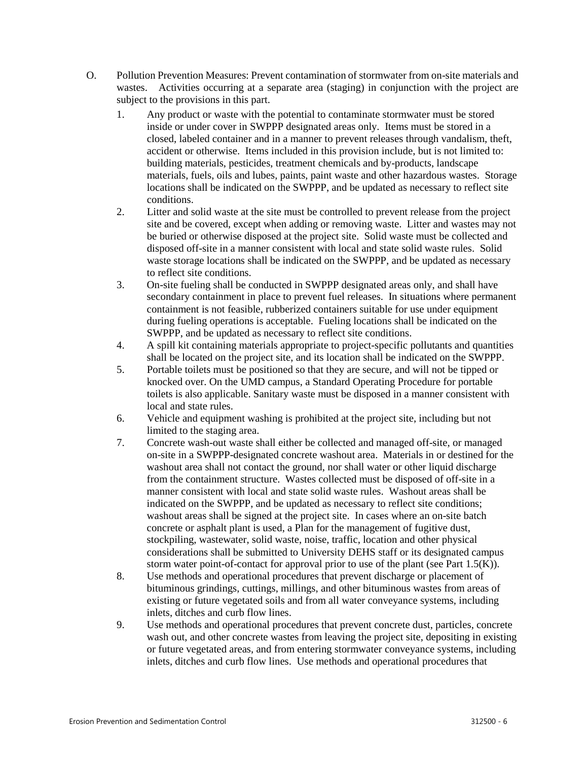- O. Pollution Prevention Measures: Prevent contamination of stormwater from on-site materials and wastes. Activities occurring at a separate area (staging) in conjunction with the project are subject to the provisions in this part.
	- 1. Any product or waste with the potential to contaminate stormwater must be stored inside or under cover in SWPPP designated areas only. Items must be stored in a closed, labeled container and in a manner to prevent releases through vandalism, theft, accident or otherwise. Items included in this provision include, but is not limited to: building materials, pesticides, treatment chemicals and by-products, landscape materials, fuels, oils and lubes, paints, paint waste and other hazardous wastes. Storage locations shall be indicated on the SWPPP, and be updated as necessary to reflect site conditions.
	- 2. Litter and solid waste at the site must be controlled to prevent release from the project site and be covered, except when adding or removing waste. Litter and wastes may not be buried or otherwise disposed at the project site. Solid waste must be collected and disposed off-site in a manner consistent with local and state solid waste rules. Solid waste storage locations shall be indicated on the SWPPP, and be updated as necessary to reflect site conditions.
	- 3. On-site fueling shall be conducted in SWPPP designated areas only, and shall have secondary containment in place to prevent fuel releases. In situations where permanent containment is not feasible, rubberized containers suitable for use under equipment during fueling operations is acceptable. Fueling locations shall be indicated on the SWPPP, and be updated as necessary to reflect site conditions.
	- 4. A spill kit containing materials appropriate to project-specific pollutants and quantities shall be located on the project site, and its location shall be indicated on the SWPPP.
	- 5. Portable toilets must be positioned so that they are secure, and will not be tipped or knocked over. On the UMD campus, a Standard Operating Procedure for portable toilets is also applicable. Sanitary waste must be disposed in a manner consistent with local and state rules.
	- 6. Vehicle and equipment washing is prohibited at the project site, including but not limited to the staging area.
	- 7. Concrete wash-out waste shall either be collected and managed off-site, or managed on-site in a SWPPP-designated concrete washout area. Materials in or destined for the washout area shall not contact the ground, nor shall water or other liquid discharge from the containment structure. Wastes collected must be disposed of off-site in a manner consistent with local and state solid waste rules. Washout areas shall be indicated on the SWPPP, and be updated as necessary to reflect site conditions; washout areas shall be signed at the project site. In cases where an on-site batch concrete or asphalt plant is used, a Plan for the management of fugitive dust, stockpiling, wastewater, solid waste, noise, traffic, location and other physical considerations shall be submitted to University DEHS staff or its designated campus storm water point-of-contact for approval prior to use of the plant (see Part  $1.5(K)$ ).
	- 8. Use methods and operational procedures that prevent discharge or placement of bituminous grindings, cuttings, millings, and other bituminous wastes from areas of existing or future vegetated soils and from all water conveyance systems, including inlets, ditches and curb flow lines.
	- 9. Use methods and operational procedures that prevent concrete dust, particles, concrete wash out, and other concrete wastes from leaving the project site, depositing in existing or future vegetated areas, and from entering stormwater conveyance systems, including inlets, ditches and curb flow lines. Use methods and operational procedures that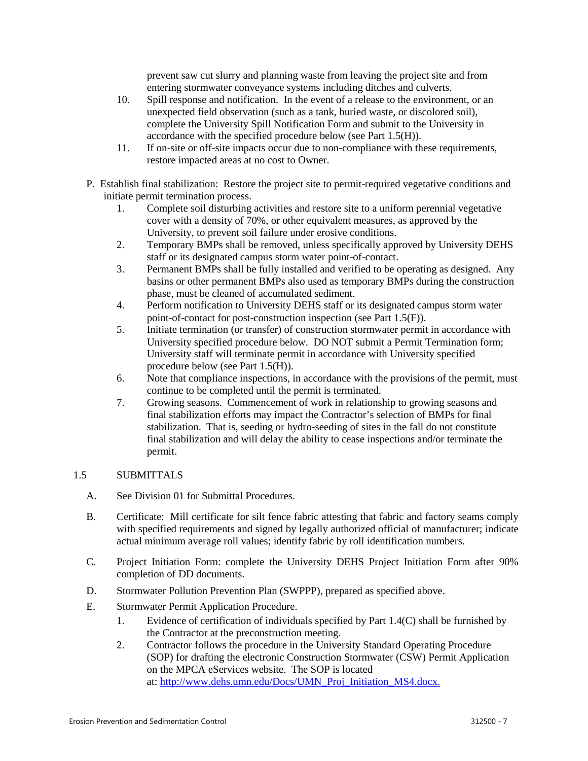prevent saw cut slurry and planning waste from leaving the project site and from entering stormwater conveyance systems including ditches and culverts.

- 10. Spill response and notification. In the event of a release to the environment, or an unexpected field observation (such as a tank, buried waste, or discolored soil), complete the University Spill Notification Form and submit to the University in accordance with the specified procedure below (see Part 1.5(H)).
- 11. If on-site or off-site impacts occur due to non-compliance with these requirements, restore impacted areas at no cost to Owner.
- P. Establish final stabilization: Restore the project site to permit-required vegetative conditions and initiate permit termination process.
	- 1. Complete soil disturbing activities and restore site to a uniform perennial vegetative cover with a density of 70%, or other equivalent measures, as approved by the University, to prevent soil failure under erosive conditions.
	- 2. Temporary BMPs shall be removed, unless specifically approved by University DEHS staff or its designated campus storm water point-of-contact.
	- 3. Permanent BMPs shall be fully installed and verified to be operating as designed. Any basins or other permanent BMPs also used as temporary BMPs during the construction phase, must be cleaned of accumulated sediment.
	- 4. Perform notification to University DEHS staff or its designated campus storm water point-of-contact for post-construction inspection (see Part 1.5(F)).
	- 5. Initiate termination (or transfer) of construction stormwater permit in accordance with University specified procedure below. DO NOT submit a Permit Termination form; University staff will terminate permit in accordance with University specified procedure below (see Part 1.5(H)).
	- 6. Note that compliance inspections, in accordance with the provisions of the permit, must continue to be completed until the permit is terminated.
	- 7. Growing seasons. Commencement of work in relationship to growing seasons and final stabilization efforts may impact the Contractor's selection of BMPs for final stabilization. That is, seeding or hydro-seeding of sites in the fall do not constitute final stabilization and will delay the ability to cease inspections and/or terminate the permit.

## 1.5 SUBMITTALS

- A. See Division 01 for Submittal Procedures.
- B. Certificate: Mill certificate for silt fence fabric attesting that fabric and factory seams comply with specified requirements and signed by legally authorized official of manufacturer; indicate actual minimum average roll values; identify fabric by roll identification numbers.
- C. Project Initiation Form: complete the University DEHS Project Initiation Form after 90% completion of DD documents.
- D. Stormwater Pollution Prevention Plan (SWPPP), prepared as specified above.
- E. Stormwater Permit Application Procedure.
	- 1. Evidence of certification of individuals specified by Part 1.4(C) shall be furnished by the Contractor at the preconstruction meeting.
	- 2. Contractor follows the procedure in the University Standard Operating Procedure (SOP) for drafting the electronic Construction Stormwater (CSW) Permit Application on the MPCA eServices website. The SOP is located at[: http://www.dehs.umn.edu/Docs/UMN\\_Proj\\_Initiation\\_MS4.docx.](http://www.dehs.umn.edu/Docs/UMN_Proj_Initiation_MS4.docx)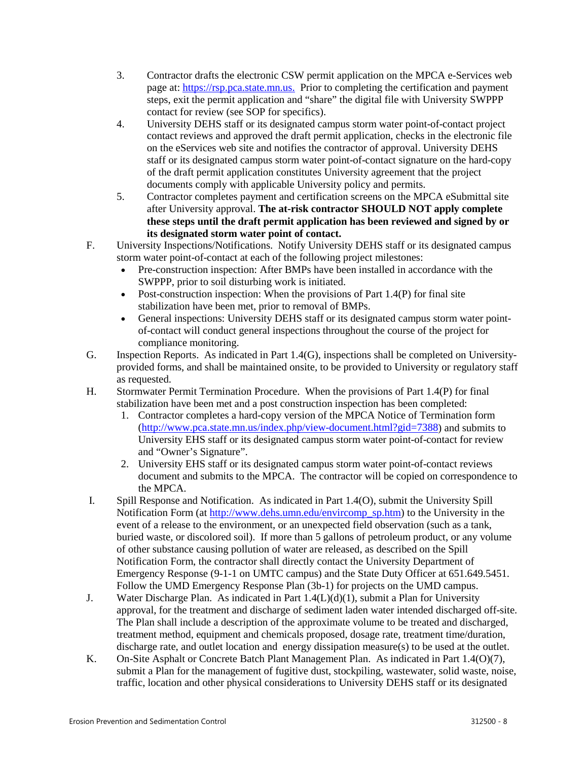- 3. Contractor drafts the electronic CSW permit application on the MPCA e-Services web page at: [https://rsp.pca.state.mn.us.](https://rsp.pca.state.mn.us/) Prior to completing the certification and payment steps, exit the permit application and "share" the digital file with University SWPPP contact for review (see SOP for specifics).
- 4. University DEHS staff or its designated campus storm water point-of-contact project contact reviews and approved the draft permit application, checks in the electronic file on the eServices web site and notifies the contractor of approval. University DEHS staff or its designated campus storm water point-of-contact signature on the hard-copy of the draft permit application constitutes University agreement that the project documents comply with applicable University policy and permits.
- 5. Contractor completes payment and certification screens on the MPCA eSubmittal site after University approval. **The at-risk contractor SHOULD NOT apply complete these steps until the draft permit application has been reviewed and signed by or its designated storm water point of contact.**
- F. University Inspections/Notifications. Notify University DEHS staff or its designated campus storm water point-of-contact at each of the following project milestones:
	- Pre-construction inspection: After BMPs have been installed in accordance with the SWPPP, prior to soil disturbing work is initiated.
	- Post-construction inspection: When the provisions of Part 1.4(P) for final site stabilization have been met, prior to removal of BMPs.
	- General inspections: University DEHS staff or its designated campus storm water pointof-contact will conduct general inspections throughout the course of the project for compliance monitoring.
- G. Inspection Reports. As indicated in Part 1.4(G), inspections shall be completed on Universityprovided forms, and shall be maintained onsite, to be provided to University or regulatory staff as requested.
- H. Stormwater Permit Termination Procedure. When the provisions of Part 1.4(P) for final stabilization have been met and a post construction inspection has been completed:
	- 1. Contractor completes a hard-copy version of the MPCA Notice of Termination form [\(http://www.pca.state.mn.us/index.php/view-document.html?gid=7388\)](http://www.pca.state.mn.us/index.php/view-document.html?gid=7388) and submits to University EHS staff or its designated campus storm water point-of-contact for review and "Owner's Signature".
	- 2. University EHS staff or its designated campus storm water point-of-contact reviews document and submits to the MPCA. The contractor will be copied on correspondence to the MPCA.
- I. Spill Response and Notification. As indicated in Part 1.4(O), submit the University Spill Notification Form (at [http://www.dehs.umn.edu/envircomp\\_sp.htm\)](http://www.dehs.umn.edu/envircomp_sp.htm) to the University in the event of a release to the environment, or an unexpected field observation (such as a tank, buried waste, or discolored soil). If more than 5 gallons of petroleum product, or any volume of other substance causing pollution of water are released, as described on the Spill Notification Form, the contractor shall directly contact the University Department of Emergency Response (9-1-1 on UMTC campus) and the State Duty Officer at 651.649.5451. Follow the UMD Emergency Response Plan (3b-1) for projects on the UMD campus.
- J. Water Discharge Plan. As indicated in Part 1.4(L)(d)(1), submit a Plan for University approval, for the treatment and discharge of sediment laden water intended discharged off-site. The Plan shall include a description of the approximate volume to be treated and discharged, treatment method, equipment and chemicals proposed, dosage rate, treatment time/duration, discharge rate, and outlet location and energy dissipation measure(s) to be used at the outlet.
- K. On-Site Asphalt or Concrete Batch Plant Management Plan. As indicated in Part 1.4(O)(7), submit a Plan for the management of fugitive dust, stockpiling, wastewater, solid waste, noise, traffic, location and other physical considerations to University DEHS staff or its designated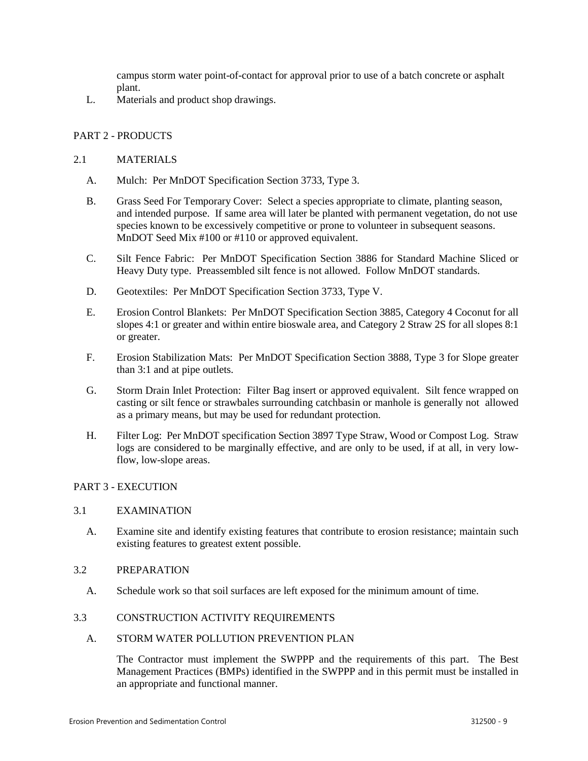campus storm water point-of-contact for approval prior to use of a batch concrete or asphalt plant.

L. Materials and product shop drawings.

## PART 2 - PRODUCTS

## 2.1 MATERIALS

- A. Mulch: Per MnDOT Specification Section 3733, Type 3.
- B. Grass Seed For Temporary Cover: Select a species appropriate to climate, planting season, and intended purpose. If same area will later be planted with permanent vegetation, do not use species known to be excessively competitive or prone to volunteer in subsequent seasons. MnDOT Seed Mix #100 or #110 or approved equivalent.
- C. Silt Fence Fabric: Per MnDOT Specification Section 3886 for Standard Machine Sliced or Heavy Duty type. Preassembled silt fence is not allowed. Follow MnDOT standards.
- D. Geotextiles: Per MnDOT Specification Section 3733, Type V.
- E. Erosion Control Blankets: Per MnDOT Specification Section 3885, Category 4 Coconut for all slopes 4:1 or greater and within entire bioswale area, and Category 2 Straw 2S for all slopes 8:1 or greater.
- F. Erosion Stabilization Mats: Per MnDOT Specification Section 3888, Type 3 for Slope greater than 3:1 and at pipe outlets.
- G. Storm Drain Inlet Protection: Filter Bag insert or approved equivalent. Silt fence wrapped on casting or silt fence or strawbales surrounding catchbasin or manhole is generally not allowed as a primary means, but may be used for redundant protection.
- H. Filter Log: Per MnDOT specification Section 3897 Type Straw, Wood or Compost Log. Straw logs are considered to be marginally effective, and are only to be used, if at all, in very lowflow, low-slope areas.

## PART 3 - EXECUTION

## 3.1 EXAMINATION

A. Examine site and identify existing features that contribute to erosion resistance; maintain such existing features to greatest extent possible.

## 3.2 PREPARATION

A. Schedule work so that soil surfaces are left exposed for the minimum amount of time.

## 3.3 CONSTRUCTION ACTIVITY REQUIREMENTS

#### A. STORM WATER POLLUTION PREVENTION PLAN

The Contractor must implement the SWPPP and the requirements of this part. The Best Management Practices (BMPs) identified in the SWPPP and in this permit must be installed in an appropriate and functional manner.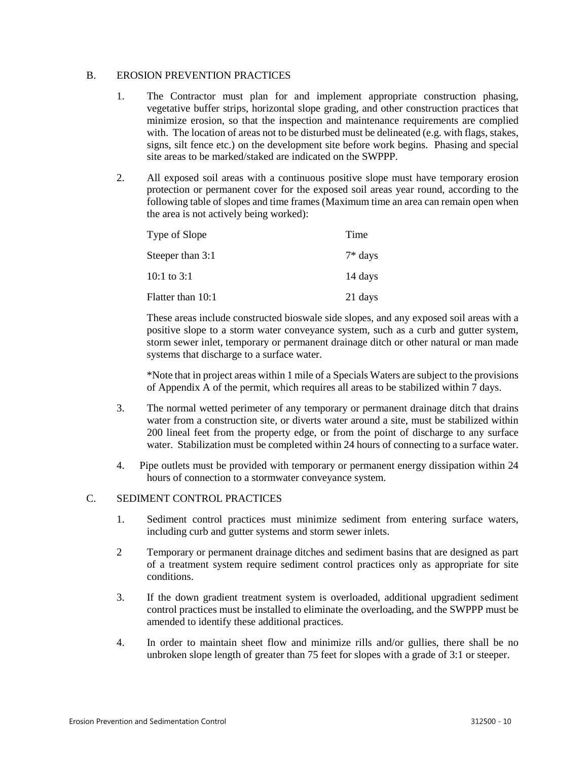#### B. EROSION PREVENTION PRACTICES

- 1. The Contractor must plan for and implement appropriate construction phasing, vegetative buffer strips, horizontal slope grading, and other construction practices that minimize erosion, so that the inspection and maintenance requirements are complied with. The location of areas not to be disturbed must be delineated (e.g. with flags, stakes, signs, silt fence etc.) on the development site before work begins. Phasing and special site areas to be marked/staked are indicated on the SWPPP.
- 2. All exposed soil areas with a continuous positive slope must have temporary erosion protection or permanent cover for the exposed soil areas year round, according to the following table of slopes and time frames (Maximum time an area can remain open when the area is not actively being worked):

| Type of Slope     | Time      |
|-------------------|-----------|
| Steeper than 3:1  | $7*$ days |
| 10:1 to $3:1$     | 14 days   |
| Flatter than 10:1 | 21 days   |

These areas include constructed bioswale side slopes, and any exposed soil areas with a positive slope to a storm water conveyance system, such as a curb and gutter system, storm sewer inlet, temporary or permanent drainage ditch or other natural or man made systems that discharge to a surface water.

\*Note that in project areas within 1 mile of a Specials Waters are subject to the provisions of Appendix A of the permit, which requires all areas to be stabilized within 7 days.

- 3. The normal wetted perimeter of any temporary or permanent drainage ditch that drains water from a construction site, or diverts water around a site, must be stabilized within 200 lineal feet from the property edge, or from the point of discharge to any surface water. Stabilization must be completed within 24 hours of connecting to a surface water.
- 4. Pipe outlets must be provided with temporary or permanent energy dissipation within 24 hours of connection to a stormwater conveyance system.

## C. SEDIMENT CONTROL PRACTICES

- 1. Sediment control practices must minimize sediment from entering surface waters, including curb and gutter systems and storm sewer inlets.
- 2 Temporary or permanent drainage ditches and sediment basins that are designed as part of a treatment system require sediment control practices only as appropriate for site conditions.
- 3. If the down gradient treatment system is overloaded, additional upgradient sediment control practices must be installed to eliminate the overloading, and the SWPPP must be amended to identify these additional practices.
- 4. In order to maintain sheet flow and minimize rills and/or gullies, there shall be no unbroken slope length of greater than 75 feet for slopes with a grade of 3:1 or steeper.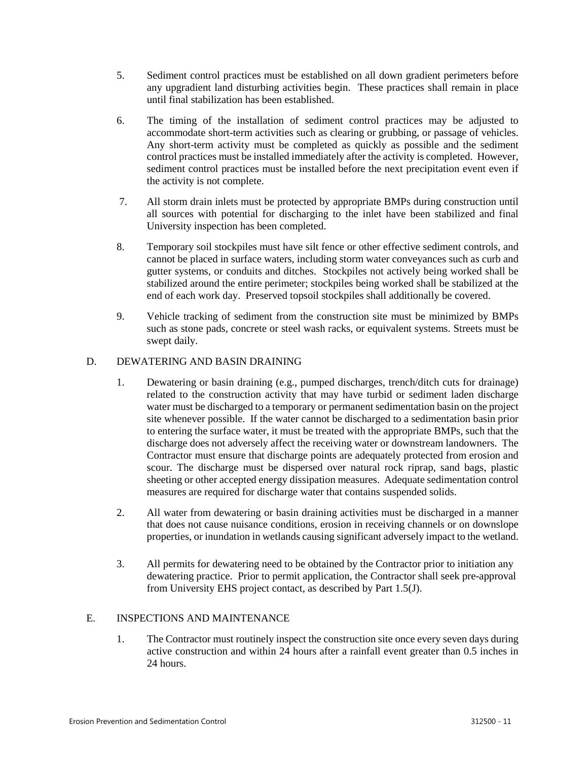- 5. Sediment control practices must be established on all down gradient perimeters before any upgradient land disturbing activities begin. These practices shall remain in place until final stabilization has been established.
- 6. The timing of the installation of sediment control practices may be adjusted to accommodate short-term activities such as clearing or grubbing, or passage of vehicles. Any short-term activity must be completed as quickly as possible and the sediment control practices must be installed immediately after the activity is completed. However, sediment control practices must be installed before the next precipitation event even if the activity is not complete.
- 7. All storm drain inlets must be protected by appropriate BMPs during construction until all sources with potential for discharging to the inlet have been stabilized and final University inspection has been completed.
- 8. Temporary soil stockpiles must have silt fence or other effective sediment controls, and cannot be placed in surface waters, including storm water conveyances such as curb and gutter systems, or conduits and ditches. Stockpiles not actively being worked shall be stabilized around the entire perimeter; stockpiles being worked shall be stabilized at the end of each work day. Preserved topsoil stockpiles shall additionally be covered.
- 9. Vehicle tracking of sediment from the construction site must be minimized by BMPs such as stone pads, concrete or steel wash racks, or equivalent systems. Streets must be swept daily.

# D. DEWATERING AND BASIN DRAINING

- 1. Dewatering or basin draining (e.g., pumped discharges, trench/ditch cuts for drainage) related to the construction activity that may have turbid or sediment laden discharge water must be discharged to a temporary or permanent sedimentation basin on the project site whenever possible. If the water cannot be discharged to a sedimentation basin prior to entering the surface water, it must be treated with the appropriate BMPs, such that the discharge does not adversely affect the receiving water or downstream landowners. The Contractor must ensure that discharge points are adequately protected from erosion and scour. The discharge must be dispersed over natural rock riprap, sand bags, plastic sheeting or other accepted energy dissipation measures. Adequate sedimentation control measures are required for discharge water that contains suspended solids.
- 2. All water from dewatering or basin draining activities must be discharged in a manner that does not cause nuisance conditions, erosion in receiving channels or on downslope properties, or inundation in wetlands causing significant adversely impact to the wetland.
- 3. All permits for dewatering need to be obtained by the Contractor prior to initiation any dewatering practice. Prior to permit application, the Contractor shall seek pre-approval from University EHS project contact, as described by Part 1.5(J).

# E. INSPECTIONS AND MAINTENANCE

1. The Contractor must routinely inspect the construction site once every seven days during active construction and within 24 hours after a rainfall event greater than 0.5 inches in 24 hours.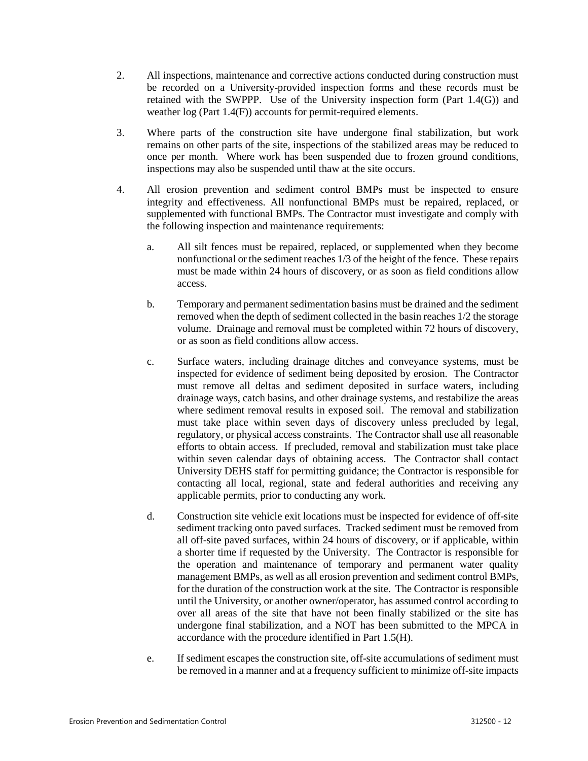- 2. All inspections, maintenance and corrective actions conducted during construction must be recorded on a University-provided inspection forms and these records must be retained with the SWPPP. Use of the University inspection form (Part 1.4(G)) and weather log (Part 1.4(F)) accounts for permit-required elements.
- 3. Where parts of the construction site have undergone final stabilization, but work remains on other parts of the site, inspections of the stabilized areas may be reduced to once per month. Where work has been suspended due to frozen ground conditions, inspections may also be suspended until thaw at the site occurs.
- 4. All erosion prevention and sediment control BMPs must be inspected to ensure integrity and effectiveness. All nonfunctional BMPs must be repaired, replaced, or supplemented with functional BMPs. The Contractor must investigate and comply with the following inspection and maintenance requirements:
	- a. All silt fences must be repaired, replaced, or supplemented when they become nonfunctional or the sediment reaches 1/3 of the height of the fence. These repairs must be made within 24 hours of discovery, or as soon as field conditions allow access.
	- b. Temporary and permanent sedimentation basins must be drained and the sediment removed when the depth of sediment collected in the basin reaches 1/2 the storage volume. Drainage and removal must be completed within 72 hours of discovery, or as soon as field conditions allow access.
	- c. Surface waters, including drainage ditches and conveyance systems, must be inspected for evidence of sediment being deposited by erosion. The Contractor must remove all deltas and sediment deposited in surface waters, including drainage ways, catch basins, and other drainage systems, and restabilize the areas where sediment removal results in exposed soil. The removal and stabilization must take place within seven days of discovery unless precluded by legal, regulatory, or physical access constraints. The Contractor shall use all reasonable efforts to obtain access. If precluded, removal and stabilization must take place within seven calendar days of obtaining access. The Contractor shall contact University DEHS staff for permitting guidance; the Contractor is responsible for contacting all local, regional, state and federal authorities and receiving any applicable permits, prior to conducting any work.
	- d. Construction site vehicle exit locations must be inspected for evidence of off-site sediment tracking onto paved surfaces. Tracked sediment must be removed from all off-site paved surfaces, within 24 hours of discovery, or if applicable, within a shorter time if requested by the University. The Contractor is responsible for the operation and maintenance of temporary and permanent water quality management BMPs, as well as all erosion prevention and sediment control BMPs, for the duration of the construction work at the site. The Contractor is responsible until the University, or another owner/operator, has assumed control according to over all areas of the site that have not been finally stabilized or the site has undergone final stabilization, and a NOT has been submitted to the MPCA in accordance with the procedure identified in Part 1.5(H).
	- e. If sediment escapes the construction site, off-site accumulations of sediment must be removed in a manner and at a frequency sufficient to minimize off-site impacts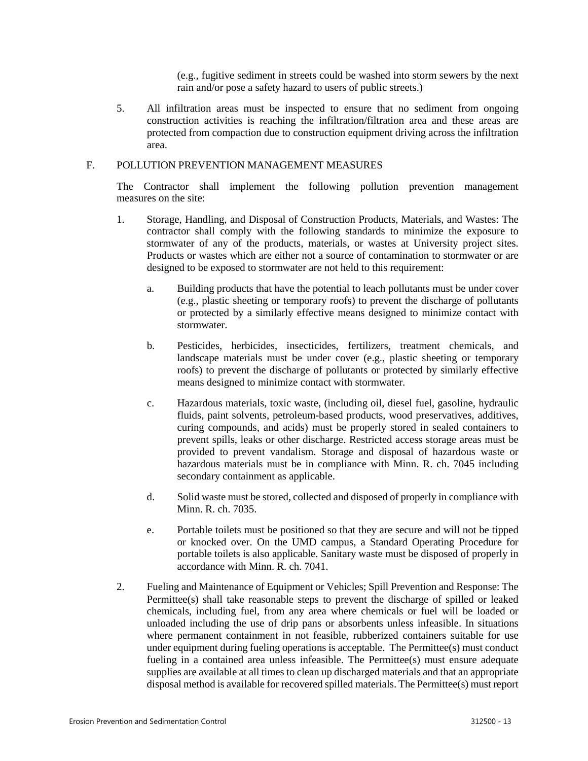(e.g., fugitive sediment in streets could be washed into storm sewers by the next rain and/or pose a safety hazard to users of public streets.)

5. All infiltration areas must be inspected to ensure that no sediment from ongoing construction activities is reaching the infiltration/filtration area and these areas are protected from compaction due to construction equipment driving across the infiltration area.

#### F. POLLUTION PREVENTION MANAGEMENT MEASURES

The Contractor shall implement the following pollution prevention management measures on the site:

- 1. Storage, Handling, and Disposal of Construction Products, Materials, and Wastes: The contractor shall comply with the following standards to minimize the exposure to stormwater of any of the products, materials, or wastes at University project sites. Products or wastes which are either not a source of contamination to stormwater or are designed to be exposed to stormwater are not held to this requirement:
	- a. Building products that have the potential to leach pollutants must be under cover (e.g., plastic sheeting or temporary roofs) to prevent the discharge of pollutants or protected by a similarly effective means designed to minimize contact with stormwater.
	- b. Pesticides, herbicides, insecticides, fertilizers, treatment chemicals, and landscape materials must be under cover (e.g., plastic sheeting or temporary roofs) to prevent the discharge of pollutants or protected by similarly effective means designed to minimize contact with stormwater.
	- c. Hazardous materials, toxic waste, (including oil, diesel fuel, gasoline, hydraulic fluids, paint solvents, petroleum-based products, wood preservatives, additives, curing compounds, and acids) must be properly stored in sealed containers to prevent spills, leaks or other discharge. Restricted access storage areas must be provided to prevent vandalism. Storage and disposal of hazardous waste or hazardous materials must be in compliance with Minn. R. ch. 7045 including secondary containment as applicable.
	- d. Solid waste must be stored, collected and disposed of properly in compliance with Minn. R. ch. 7035.
	- e. Portable toilets must be positioned so that they are secure and will not be tipped or knocked over. On the UMD campus, a Standard Operating Procedure for portable toilets is also applicable. Sanitary waste must be disposed of properly in accordance with Minn. R. ch. 7041.
- 2. Fueling and Maintenance of Equipment or Vehicles; Spill Prevention and Response: The Permittee(s) shall take reasonable steps to prevent the discharge of spilled or leaked chemicals, including fuel, from any area where chemicals or fuel will be loaded or unloaded including the use of drip pans or absorbents unless infeasible. In situations where permanent containment in not feasible, rubberized containers suitable for use under equipment during fueling operations is acceptable. The Permittee(s) must conduct fueling in a contained area unless infeasible. The Permittee(s) must ensure adequate supplies are available at all times to clean up discharged materials and that an appropriate disposal method is available for recovered spilled materials. The Permittee(s) must report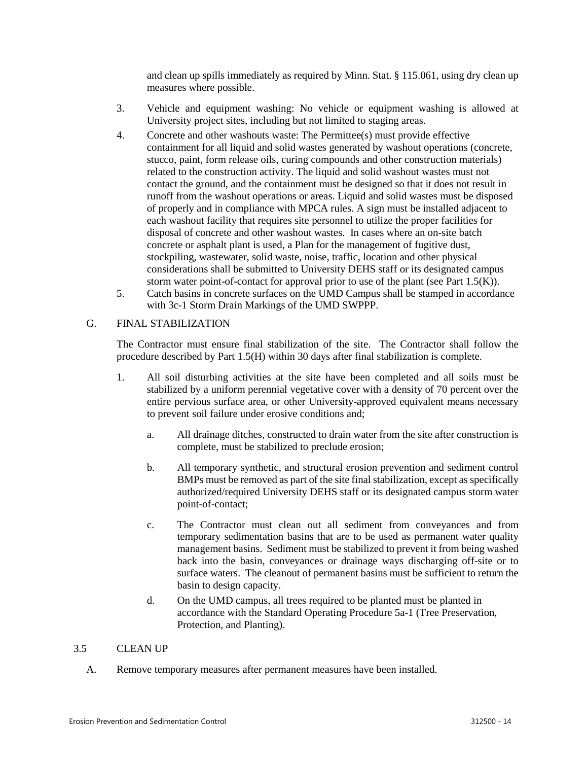and clean up spills immediately as required by Minn. Stat. § 115.061, using dry clean up measures where possible.

- 3. Vehicle and equipment washing: No vehicle or equipment washing is allowed at University project sites, including but not limited to staging areas.
- 4. Concrete and other washouts waste: The Permittee(s) must provide effective containment for all liquid and solid wastes generated by washout operations (concrete, stucco, paint, form release oils, curing compounds and other construction materials) related to the construction activity. The liquid and solid washout wastes must not contact the ground, and the containment must be designed so that it does not result in runoff from the washout operations or areas. Liquid and solid wastes must be disposed of properly and in compliance with MPCA rules. A sign must be installed adjacent to each washout facility that requires site personnel to utilize the proper facilities for disposal of concrete and other washout wastes. In cases where an on-site batch concrete or asphalt plant is used, a Plan for the management of fugitive dust, stockpiling, wastewater, solid waste, noise, traffic, location and other physical considerations shall be submitted to University DEHS staff or its designated campus storm water point-of-contact for approval prior to use of the plant (see Part 1.5 $(K)$ ).
- 5. Catch basins in concrete surfaces on the UMD Campus shall be stamped in accordance with 3c-1 Storm Drain Markings of the UMD SWPPP.

#### G. FINAL STABILIZATION

The Contractor must ensure final stabilization of the site. The Contractor shall follow the procedure described by Part 1.5(H) within 30 days after final stabilization is complete.

- 1. All soil disturbing activities at the site have been completed and all soils must be stabilized by a uniform perennial vegetative cover with a density of 70 percent over the entire pervious surface area, or other University-approved equivalent means necessary to prevent soil failure under erosive conditions and;
	- a. All drainage ditches, constructed to drain water from the site after construction is complete, must be stabilized to preclude erosion;
	- b. All temporary synthetic, and structural erosion prevention and sediment control BMPs must be removed as part of the site final stabilization, except as specifically authorized/required University DEHS staff or its designated campus storm water point-of-contact;
	- c. The Contractor must clean out all sediment from conveyances and from temporary sedimentation basins that are to be used as permanent water quality management basins. Sediment must be stabilized to prevent it from being washed back into the basin, conveyances or drainage ways discharging off-site or to surface waters. The cleanout of permanent basins must be sufficient to return the basin to design capacity.
	- d. On the UMD campus, all trees required to be planted must be planted in accordance with the Standard Operating Procedure 5a-1 (Tree Preservation, Protection, and Planting).

#### 3.5 CLEAN UP

A. Remove temporary measures after permanent measures have been installed.